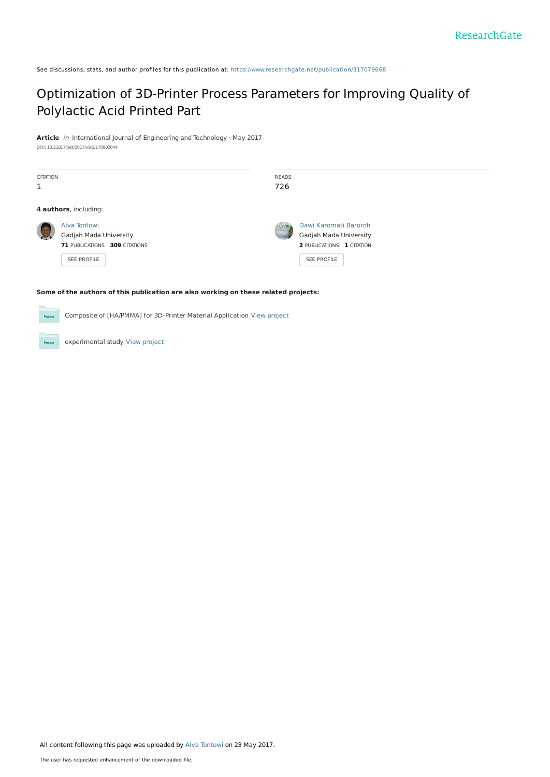See discussions, stats, and author profiles for this publication at: [https://www.researchgate.net/publication/317079668](https://www.researchgate.net/publication/317079668_Optimization_of_3D-Printer_Process_Parameters_for_Improving_Quality_of_Polylactic_Acid_Printed_Part?enrichId=rgreq-b11a15542b1b56bc6b4d08ace6b5b84b-XXX&enrichSource=Y292ZXJQYWdlOzMxNzA3OTY2ODtBUzo0OTcyMjgwODMzNTE1NTJAMTQ5NTU1OTgyMTI4MQ%3D%3D&el=1_x_2&_esc=publicationCoverPdf)

# [Optimization](https://www.researchgate.net/publication/317079668_Optimization_of_3D-Printer_Process_Parameters_for_Improving_Quality_of_Polylactic_Acid_Printed_Part?enrichId=rgreq-b11a15542b1b56bc6b4d08ace6b5b84b-XXX&enrichSource=Y292ZXJQYWdlOzMxNzA3OTY2ODtBUzo0OTcyMjgwODMzNTE1NTJAMTQ5NTU1OTgyMTI4MQ%3D%3D&el=1_x_3&_esc=publicationCoverPdf) of 3D-Printer Process Parameters for Improving Quality of Polylactic Acid Printed Part

**Article** in International Journal of Engineering and Technology · May 2017 DOI: 10.21817/ijet/2017/v9i2/170902044

| <b>CITATION</b><br>1 |                                                                                               | <b>READS</b><br>726 |                                                                                             |  |
|----------------------|-----------------------------------------------------------------------------------------------|---------------------|---------------------------------------------------------------------------------------------|--|
|                      | 4 authors, including:                                                                         |                     |                                                                                             |  |
|                      | Alva Tontowi<br>Gadjah Mada University<br>71 PUBLICATIONS 309 CITATIONS<br><b>SEE PROFILE</b> | <b>RES VIII</b>     | Dawi Karomati Baroroh<br>Gadjah Mada University<br>2 PUBLICATIONS 1 CITATION<br>SEE PROFILE |  |

#### **Some of the authors of this publication are also working on these related projects:**

Composite of [HA/PMMA] for 3D-Printer Material Application View [project](https://www.researchgate.net/project/Composite-of-HA-PMMA-for-3D-Printer-Material-Application?enrichId=rgreq-b11a15542b1b56bc6b4d08ace6b5b84b-XXX&enrichSource=Y292ZXJQYWdlOzMxNzA3OTY2ODtBUzo0OTcyMjgwODMzNTE1NTJAMTQ5NTU1OTgyMTI4MQ%3D%3D&el=1_x_9&_esc=publicationCoverPdf)

experimental study View [project](https://www.researchgate.net/project/experimental-study-2?enrichId=rgreq-b11a15542b1b56bc6b4d08ace6b5b84b-XXX&enrichSource=Y292ZXJQYWdlOzMxNzA3OTY2ODtBUzo0OTcyMjgwODMzNTE1NTJAMTQ5NTU1OTgyMTI4MQ%3D%3D&el=1_x_9&_esc=publicationCoverPdf) **Project**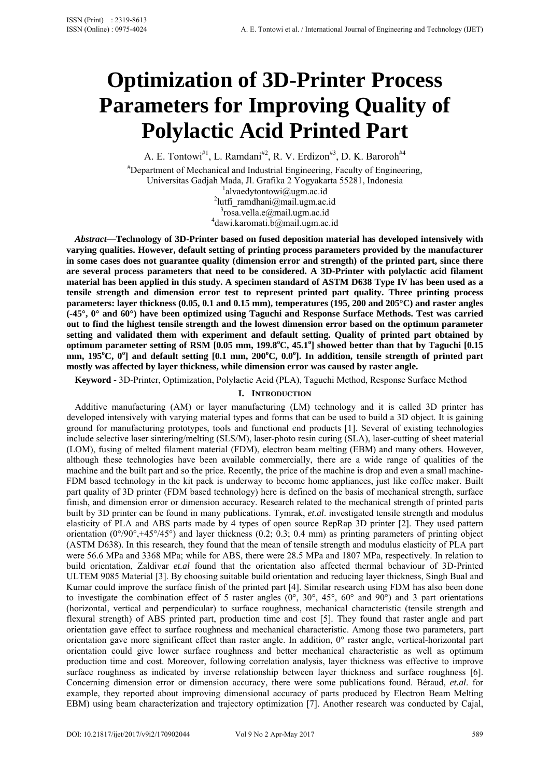# **Optimization of 3D-Printer Process Parameters for Improving Quality of Polylactic Acid Printed Part**

A. E. Tontowi<sup>#1</sup>, L. Ramdani<sup>#2</sup>, R. V. Erdizon<sup>#3</sup>, D. K. Baroroh<sup>#4</sup> # Department of Mechanical and Industrial Engineering, Faculty of Engineering, Universitas Gadjah Mada, Jl. Grafika 2 Yogyakarta 55281, Indonesia 1  $\alpha$ <sup>1</sup>alvaedytontowi@ugm.ac.id <sup>2</sup>lutfi ramdhani@mail.ugm.ac.id  $3$ rosa.vella.e@mail.ugm.ac.id dawi.karomati.b@mail.ugm.ac.id

*Abstract*—**Technology of 3D-Printer based on fused deposition material has developed intensively with varying qualities. However, default setting of printing process parameters provided by the manufacturer in some cases does not guarantee quality (dimension error and strength) of the printed part, since there are several process parameters that need to be considered. A 3D-Printer with polylactic acid filament material has been applied in this study. A specimen standard of ASTM D638 Type IV has been used as a tensile strength and dimension error test to represent printed part quality. Three printing process parameters: layer thickness (0.05, 0.1 and 0.15 mm), temperatures (195, 200 and 205°C) and raster angles (-45°, 0° and 60°) have been optimized using Taguchi and Response Surface Methods. Test was carried out to find the highest tensile strength and the lowest dimension error based on the optimum parameter setting and validated them with experiment and default setting. Quality of printed part obtained by**  optimum parameter setting of RSM [0.05 mm, 199.8°C, 45.1°] showed better than that by Taguchi [0.15 mm, 195<sup>°</sup>C, 0<sup>°</sup>] and default setting [0.1 mm, 200<sup>°</sup>C, 0.0<sup>°</sup>]. In addition, tensile strength of printed part **mostly was affected by layer thickness, while dimension error was caused by raster angle.** 

**Keyword -** 3D-Printer, Optimization, Polylactic Acid (PLA), Taguchi Method, Response Surface Method

# **I. INTRODUCTION**

Additive manufacturing (AM) or layer manufacturing (LM) technology and it is called 3D printer has developed intensively with varying material types and forms that can be used to build a 3D object. It is gaining ground for manufacturing prototypes, tools and functional end products [1]. Several of existing technologies include selective laser sintering/melting (SLS/M), laser-photo resin curing (SLA), laser-cutting of sheet material (LOM), fusing of melted filament material (FDM), electron beam melting (EBM) and many others. However, although these technologies have been available commercially, there are a wide range of qualities of the machine and the built part and so the price. Recently, the price of the machine is drop and even a small machine-FDM based technology in the kit pack is underway to become home appliances, just like coffee maker. Built part quality of 3D printer (FDM based technology) here is defined on the basis of mechanical strength, surface finish, and dimension error or dimension accuracy. Research related to the mechanical strength of printed parts built by 3D printer can be found in many publications. Tymrak, *et.al*. investigated tensile strength and modulus elasticity of PLA and ABS parts made by 4 types of open source RepRap 3D printer [2]. They used pattern orientation  $(0^{\circ}/90^{\circ}+45^{\circ}/45^{\circ})$  and layer thickness (0.2; 0.3; 0.4 mm) as printing parameters of printing object (ASTM D638). In this research, they found that the mean of tensile strength and modulus elasticity of PLA part were 56.6 MPa and 3368 MPa; while for ABS, there were 28.5 MPa and 1807 MPa, respectively. In relation to build orientation, Zaldivar *et.al* found that the orientation also affected thermal behaviour of 3D-Printed ULTEM 9085 Material [3]. By choosing suitable build orientation and reducing layer thickness, Singh Bual and Kumar could improve the surface finish of the printed part [4]. Similar research using FDM has also been done to investigate the combination effect of 5 raster angles  $(0^{\circ}, 30^{\circ}, 45^{\circ}, 60^{\circ})$  and 90°) and 3 part orientations (horizontal, vertical and perpendicular) to surface roughness, mechanical characteristic (tensile strength and flexural strength) of ABS printed part, production time and cost [5]. They found that raster angle and part orientation gave effect to surface roughness and mechanical characteristic. Among those two parameters, part orientation gave more significant effect than raster angle. In addition, 0° raster angle, vertical-horizontal part orientation could give lower surface roughness and better mechanical characteristic as well as optimum production time and cost. Moreover, following correlation analysis, layer thickness was effective to improve surface roughness as indicated by inverse relationship between layer thickness and surface roughness [6]. Concerning dimension error or dimension accuracy, there were some publications found. Béraud, *et.al*. for example, they reported about improving dimensional accuracy of parts produced by Electron Beam Melting EBM) using beam characterization and trajectory optimization [7]. Another research was conducted by Cajal,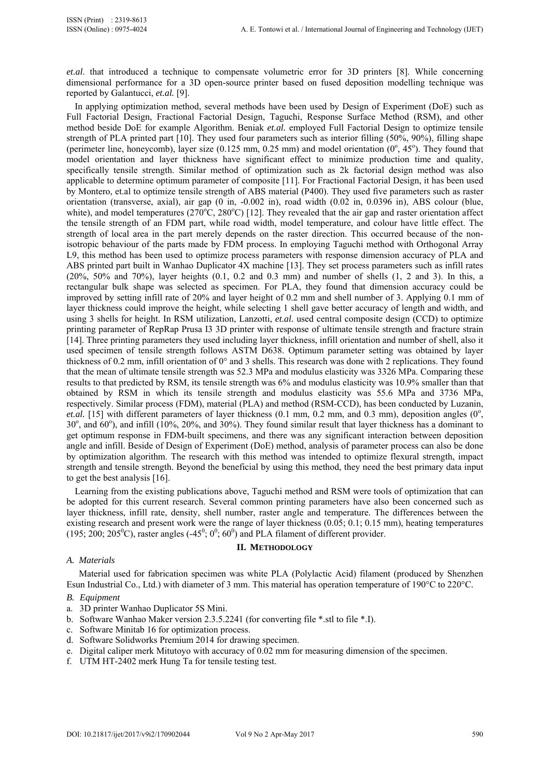*et.al*. that introduced a technique to compensate volumetric error for 3D printers [8]. While concerning dimensional performance for a 3D open-source printer based on fused deposition modelling technique was reported by Galantucci, *et.al.* [9].

In applying optimization method, several methods have been used by Design of Experiment (DoE) such as Full Factorial Design, Fractional Factorial Design, Taguchi, Response Surface Method (RSM), and other method beside DoE for example Algorithm. Beniak *et.al.* employed Full Factorial Design to optimize tensile strength of PLA printed part [10]. They used four parameters such as interior filling (50%, 90%), filling shape (perimeter line, honeycomb), layer size  $(0.125 \text{ mm}, 0.25 \text{ mm})$  and model orientation  $(0^{\degree}, 45^{\degree})$ . They found that model orientation and layer thickness have significant effect to minimize production time and quality, specifically tensile strength. Similar method of optimization such as 2k factorial design method was also applicable to determine optimum parameter of composite [11]. For Fractional Factorial Design, it has been used by Montero, et.al to optimize tensile strength of ABS material (P400). They used five parameters such as raster orientation (transverse, axial), air gap (0 in, -0.002 in), road width (0.02 in, 0.0396 in), ABS colour (blue, white), and model temperatures ( $270^{\circ}$ C,  $280^{\circ}$ C) [12]. They revealed that the air gap and raster orientation affect the tensile strength of an FDM part, while road width, model temperature, and colour have little effect. The strength of local area in the part merely depends on the raster direction. This occurred because of the nonisotropic behaviour of the parts made by FDM process. In employing Taguchi method with Orthogonal Array L9, this method has been used to optimize process parameters with response dimension accuracy of PLA and ABS printed part built in Wanhao Duplicator 4X machine [13]. They set process parameters such as infill rates (20%, 50% and 70%), layer heights (0.1, 0.2 and 0.3 mm) and number of shells (1, 2 and 3). In this, a rectangular bulk shape was selected as specimen. For PLA, they found that dimension accuracy could be improved by setting infill rate of 20% and layer height of 0.2 mm and shell number of 3. Applying 0.1 mm of layer thickness could improve the height, while selecting 1 shell gave better accuracy of length and width, and using 3 shells for height. In RSM utilization, Lanzotti, *et.al.* used central composite design (CCD) to optimize printing parameter of RepRap Prusa I3 3D printer with response of ultimate tensile strength and fracture strain [14]. Three printing parameters they used including layer thickness, infill orientation and number of shell, also it used specimen of tensile strength follows ASTM D638. Optimum parameter setting was obtained by layer thickness of 0.2 mm, infill orientation of 0° and 3 shells. This research was done with 2 replications. They found that the mean of ultimate tensile strength was 52.3 MPa and modulus elasticity was 3326 MPa. Comparing these results to that predicted by RSM, its tensile strength was 6% and modulus elasticity was 10.9% smaller than that obtained by RSM in which its tensile strength and modulus elasticity was 55.6 MPa and 3736 MPa, respectively. Similar process (FDM), material (PLA) and method (RSM-CCD), has been conducted by Luzanin,  $et. al.$  [15] with different parameters of layer thickness (0.1 mm, 0.2 mm, and 0.3 mm), deposition angles ( $0^\circ$ , 30°, and 60°), and infill (10%, 20%, and 30%). They found similar result that layer thickness has a dominant to get optimum response in FDM-built specimens, and there was any significant interaction between deposition angle and infill. Beside of Design of Experiment (DoE) method, analysis of parameter process can also be done by optimization algorithm. The research with this method was intended to optimize flexural strength, impact strength and tensile strength. Beyond the beneficial by using this method, they need the best primary data input to get the best analysis [16].

Learning from the existing publications above, Taguchi method and RSM were tools of optimization that can be adopted for this current research. Several common printing parameters have also been concerned such as layer thickness, infill rate, density, shell number, raster angle and temperature. The differences between the existing research and present work were the range of layer thickness (0.05; 0.1; 0.15 mm), heating temperatures (195; 200; 205<sup>0</sup>C), raster angles (-45<sup>0</sup>; 0<sup>0</sup>; 60<sup>0</sup>) and PLA filament of different provider.

# **II. METHODOLOGY**

# *A. Materials*

Material used for fabrication specimen was white PLA (Polylactic Acid) filament (produced by Shenzhen Esun Industrial Co., Ltd.) with diameter of 3 mm. This material has operation temperature of 190°C to 220°C.

- *B. Equipment*
- a. 3D printer Wanhao Duplicator 5S Mini.
- b. Software Wanhao Maker version 2.3.5.2241 (for converting file \*.stl to file \*.I).
- c. Software Minitab 16 for optimization process.
- d. Software Solidworks Premium 2014 for drawing specimen.
- e. Digital caliper merk Mitutoyo with accuracy of 0.02 mm for measuring dimension of the specimen.
- f. UTM HT-2402 merk Hung Ta for tensile testing test.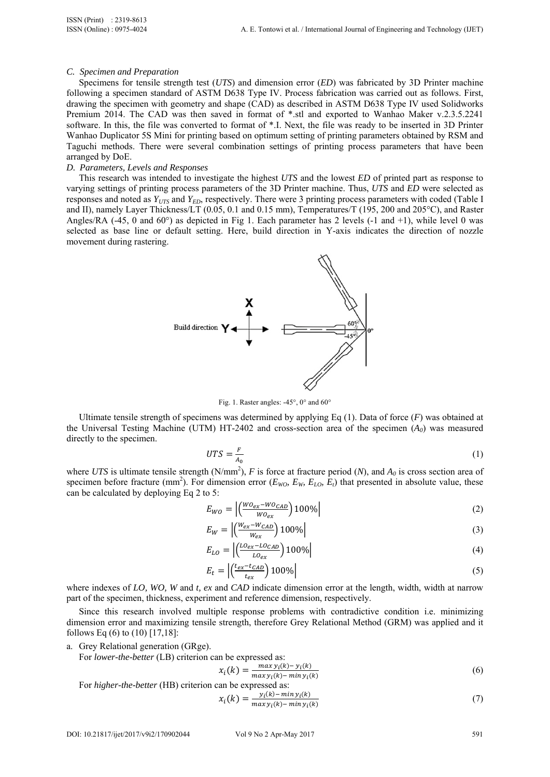#### *C. Specimen and Preparation*

Specimens for tensile strength test (*UTS*) and dimension error (*ED*) was fabricated by 3D Printer machine following a specimen standard of ASTM D638 Type IV. Process fabrication was carried out as follows. First, drawing the specimen with geometry and shape (CAD) as described in ASTM D638 Type IV used Solidworks Premium 2014. The CAD was then saved in format of \*.stl and exported to Wanhao Maker v.2.3.5.2241 software. In this, the file was converted to format of \*.I. Next, the file was ready to be inserted in 3D Printer Wanhao Duplicator 5S Mini for printing based on optimum setting of printing parameters obtained by RSM and Taguchi methods. There were several combination settings of printing process parameters that have been arranged by DoE.

#### *D. Parameters, Levels and Responses*

This research was intended to investigate the highest *UTS* and the lowest *ED* of printed part as response to varying settings of printing process parameters of the 3D Printer machine. Thus, *UTS* and *ED* were selected as responses and noted as  $Y_{UTS}$  and  $Y_{FD}$ , respectively. There were 3 printing process parameters with coded (Table I and II), namely Layer Thickness/LT (0.05, 0.1 and 0.15 mm), Temperatures/T (195, 200 and 205°C), and Raster Angles/RA  $(-45, 0 \text{ and } 60^{\circ})$  as depicted in Fig 1. Each parameter has 2 levels  $(-1 \text{ and } +1)$ , while level 0 was selected as base line or default setting. Here, build direction in Y-axis indicates the direction of nozzle movement during rastering.



Fig. 1. Raster angles: -45°, 0° and 60°

Ultimate tensile strength of specimens was determined by applying Eq (1). Data of force (*F*) was obtained at the Universal Testing Machine (UTM) HT-2402 and cross-section area of the specimen (*A0*) was measured directly to the specimen.

$$
UTS = \frac{F}{A_0} \tag{1}
$$

where *UTS* is ultimate tensile strength (N/mm<sup>2</sup>), *F* is force at fracture period (*N*), and  $A_0$  is cross section area of specimen before fracture (mm<sup>2</sup>). For dimension error ( $E_{WO}$ ,  $E_{W}$ ,  $E_{LO}$ ,  $E_{t}$ ) that presented in absolute value, these can be calculated by deploying Eq 2 to 5:

$$
E_{WO} = \left| \left( \frac{WO_{ex} - WO_{CAD}}{WO_{ex}} \right) 100\% \right| \tag{2}
$$

$$
E_W = \left| \left( \frac{W_{ex} - W_{CAD}}{W_{ex}} \right) 100\% \right| \tag{3}
$$

$$
E_{LO} = \left| \left( \frac{LO_{ex} - LO_{CAD}}{LO_{ex}} \right) 100\% \right| \tag{4}
$$

$$
E_t = \left| \left( \frac{t_{ex} - t_{CAD}}{t_{ex}} \right) 100\% \right| \tag{5}
$$

where indexes of *LO, WO, W* and *t, ex* and *CAD* indicate dimension error at the length, width, width at narrow part of the specimen, thickness, experiment and reference dimension, respectively.

Since this research involved multiple response problems with contradictive condition i.e. minimizing dimension error and maximizing tensile strength, therefore Grey Relational Method (GRM) was applied and it follows Eq (6) to (10) [17,18]:

a. Grey Relational generation (GRge).

For *lower-the-better* (LB) criterion can be expressed as:

$$
x_i(k) = \frac{\max y_i(k) - y_i(k)}{\max y_i(k) - \min y_i(k)}
$$
(6)

For higher-the-better (HB) criterion can be expressed as:  
\n
$$
x_i(k) = \frac{y_i(k) - \min y_i(k)}{\max y_i(k) - \min y_i(k)}
$$
\n(7)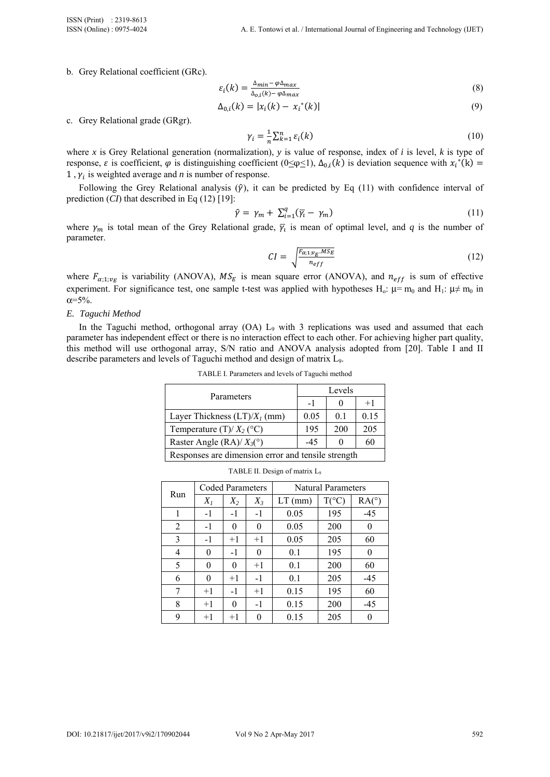b. Grey Relational coefficient (GRc).

$$
\varepsilon_i(k) = \frac{\Delta_{min} - \varphi \Delta_{max}}{\Delta_{o,i}(k) - \varphi \Delta_{max}}\tag{8}
$$

$$
\Delta_{0,i}(k) = |x_i(k) - x_i^*(k)| \tag{9}
$$

c. Grey Relational grade (GRgr).

$$
\gamma_i = \frac{1}{n} \sum_{k=1}^n \varepsilon_i(k) \tag{10}
$$

where *x* is Grey Relational generation (normalization), *y* is value of response, index of *i* is level, *k* is type of response,  $\varepsilon$  is coefficient,  $\varphi$  is distinguishing coefficient (0≤ $\varphi$ ≤1),  $\Delta_{0,i}(k)$  is deviation sequence with  $x_i^*(k)$  = 1,  $\gamma_i$  is weighted average and *n* is number of response.

Following the Grey Relational analysis  $(\hat{y})$ , it can be predicted by Eq (11) with confidence interval of prediction (*CI*) that described in Eq (12) [19]:

$$
\hat{\gamma} = \gamma_m + \sum_{i=1}^q (\overline{\gamma_i} - \gamma_m) \tag{11}
$$

where  $\gamma_m$  is total mean of the Grey Relational grade,  $\bar{\gamma}_l$  is mean of optimal level, and *q* is the number of parameter.

$$
CI = \sqrt{\frac{F_{\alpha;1;\nu_E \cdot MS_E}}{n_{eff}}}
$$
 (12)

where  $F_{\alpha;1;\nu_E}$  is variability (ANOVA),  $MS_E$  is mean square error (ANOVA), and  $n_{eff}$  is sum of effective experiment. For significance test, one sample t-test was applied with hypotheses H<sub>0</sub>:  $\mu$ = m<sub>0</sub> and H<sub>1</sub>:  $\mu \neq m_0$  in  $\alpha = 5\%$ .

#### *E. Taguchi Method*

In the Taguchi method, orthogonal array (OA) L<sub>9</sub> with 3 replications was used and assumed that each parameter has independent effect or there is no interaction effect to each other. For achieving higher part quality, this method will use orthogonal array, S/N ratio and ANOVA analysis adopted from [20]. Table I and II describe parameters and levels of Taguchi method and design of matrix L9.

| Parameters                                         | Levels |     |      |  |  |
|----------------------------------------------------|--------|-----|------|--|--|
|                                                    | $-1$   |     | $+1$ |  |  |
| Layer Thickness $(LT)/X_1$ (mm)                    | 0.05   | 0.1 | 0.15 |  |  |
| Temperature (T)/ $X_2$ (°C)                        | 195    | 200 | 205  |  |  |
| Raster Angle (RA)/ $X_3$ <sup>(°)</sup>            | $-45$  |     | 60   |  |  |
| Responses are dimension error and tensile strength |        |     |      |  |  |

TABLE I. Parameters and levels of Taguchi method

|                | <b>Coded Parameters</b> |          |          | <b>Natural Parameters</b> |                |       |
|----------------|-------------------------|----------|----------|---------------------------|----------------|-------|
| Run            | $X_I$                   | $X_2$    | $X_3$    | $LT$ (mm)                 | $T(^{\circ}C)$ | RA(°) |
| 1              | $-1$                    | $-1$     | $-1$     | 0.05                      | 195            | $-45$ |
| 2              | $-1$                    | $\Omega$ | 0        | 0.05                      | 200            | 0     |
| 3              | $-1$                    | $+1$     | $+1$     | 0.05                      | 205            | 60    |
| $\overline{4}$ | $\theta$                | $-1$     | $\theta$ | 0.1                       | 195            | 0     |
| 5              | 0                       | 0        | $+1$     | 0.1                       | 200            | 60    |
| 6              | 0                       | $+1$     | $-1$     | 0.1                       | 205            | $-45$ |
| 7              | $+1$                    | $-1$     | $+1$     | 0.15                      | 195            | 60    |
| 8              | $+1$                    | 0        | $-1$     | 0.15                      | 200            | $-45$ |
| 9              | $+1$                    | $+1$     | 0        | 0.15                      | 205            |       |

TABLE II. Design of matrix L9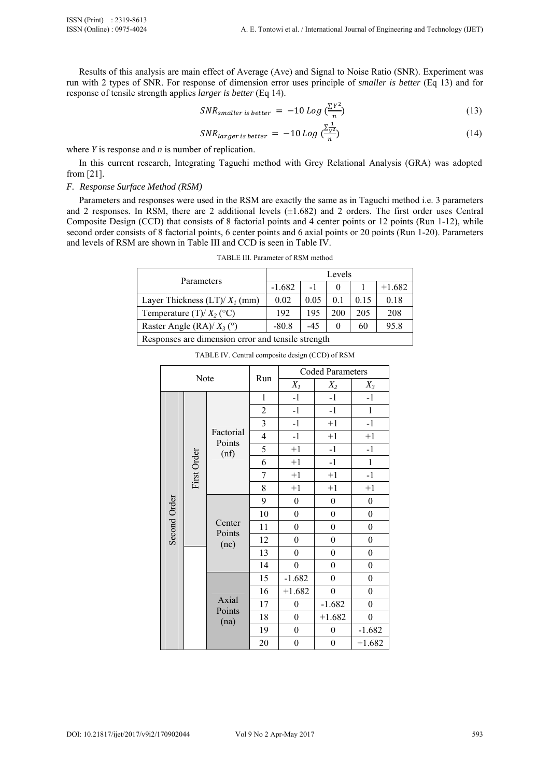Results of this analysis are main effect of Average (Ave) and Signal to Noise Ratio (SNR). Experiment was run with 2 types of SNR. For response of dimension error uses principle of *smaller is better* (Eq 13) and for response of tensile strength applies *larger is better* (Eq 14).

$$
SNR_{smaller \, is \, better} = -10 \, Log \, \left(\frac{\sum Y^2}{n}\right) \tag{13}
$$

$$
SNR_{larger \ is \ better} = -10 \ Log \left(\frac{\sum_{\gamma=2}^{1}}{n}\right) \tag{14}
$$

where *Y* is response and *n* is number of replication.

In this current research, Integrating Taguchi method with Grey Relational Analysis (GRA) was adopted from [21].

### *F. Response Surface Method (RSM)*

Parameters and responses were used in the RSM are exactly the same as in Taguchi method i.e. 3 parameters and 2 responses. In RSM, there are 2 additional levels (±1.682) and 2 orders. The first order uses Central Composite Design (CCD) that consists of 8 factorial points and 4 center points or 12 points (Run 1-12), while second order consists of 8 factorial points, 6 center points and 6 axial points or 20 points (Run 1-20). Parameters and levels of RSM are shown in Table III and CCD is seen in Table IV.

|                                                    | Levels   |       |                |      |          |  |
|----------------------------------------------------|----------|-------|----------------|------|----------|--|
| Parameters                                         | $-1.682$ |       |                |      | $+1.682$ |  |
| Layer Thickness $(LT)/X_1$ (mm)                    | 0.02     | 0.05  | 0 <sub>1</sub> | 0.15 | 0.18     |  |
| Temperature (T)/ $X_2$ (°C)                        | 192      | 195   | 200            | 205  | 208      |  |
| Raster Angle (RA)/ $X_3$ (°)                       | $-80.8$  | $-45$ | 0              | 60   | 95.8     |  |
| Responses are dimension error and tensile strength |          |       |                |      |          |  |

TABLE III. Parameter of RSM method

| Note         |             |                          |                         | <b>Coded Parameters</b> |                  |                  |  |
|--------------|-------------|--------------------------|-------------------------|-------------------------|------------------|------------------|--|
|              |             |                          | Run                     | $X_I$                   | $X_2$            | $X_3$            |  |
|              |             |                          | 1                       | $-1$                    | $-1$             | $-1$             |  |
|              |             |                          | $\boldsymbol{2}$        | $-1$                    | $-1$             | $\,1$            |  |
|              |             |                          | $\overline{\mathbf{3}}$ | $-1$                    | $+1$             | $-1$             |  |
|              |             | Factorial<br>Points      | $\overline{4}$          | $-1$                    | $+1$             | $+1$             |  |
|              |             | (nf)                     | 5                       | $+1$                    | $-1$             | $-1$             |  |
|              | First Order |                          | 6                       | $+1$                    | $-1$             | $\mathbf{1}$     |  |
| Second Order |             |                          | 7                       | $+1$                    | $+1$             | $-1$             |  |
|              |             |                          | 8                       | $+1$                    | $+1$             | $+1$             |  |
|              |             | Center<br>Points<br>(nc) | 9                       | $\boldsymbol{0}$        | $\boldsymbol{0}$ | $\boldsymbol{0}$ |  |
|              |             |                          | 10                      | $\boldsymbol{0}$        | $\boldsymbol{0}$ | $\boldsymbol{0}$ |  |
|              |             |                          | 11                      | $\boldsymbol{0}$        | $\boldsymbol{0}$ | $\boldsymbol{0}$ |  |
|              |             |                          | 12                      | $\boldsymbol{0}$        | $\boldsymbol{0}$ | $\boldsymbol{0}$ |  |
|              |             |                          | 13                      | $\boldsymbol{0}$        | $\boldsymbol{0}$ | $\boldsymbol{0}$ |  |
|              |             |                          | 14                      | $\boldsymbol{0}$        | $\boldsymbol{0}$ | $\boldsymbol{0}$ |  |
|              |             | Axial<br>Points<br>(na)  | 15                      | $-1.682$                | $\boldsymbol{0}$ | $\boldsymbol{0}$ |  |
|              |             |                          | 16                      | $+1.682$                | $\boldsymbol{0}$ | $\boldsymbol{0}$ |  |
|              |             |                          | 17                      | $\boldsymbol{0}$        | $-1.682$         | $\boldsymbol{0}$ |  |
|              |             |                          | 18                      | $\boldsymbol{0}$        | $+1.682$         | $\boldsymbol{0}$ |  |
|              |             |                          | 19                      | $\boldsymbol{0}$        | $\boldsymbol{0}$ | $-1.682$         |  |
|              |             |                          | 20                      | $\boldsymbol{0}$        | $\boldsymbol{0}$ | $+1.682$         |  |

TABLE IV. Central composite design (CCD) of RSM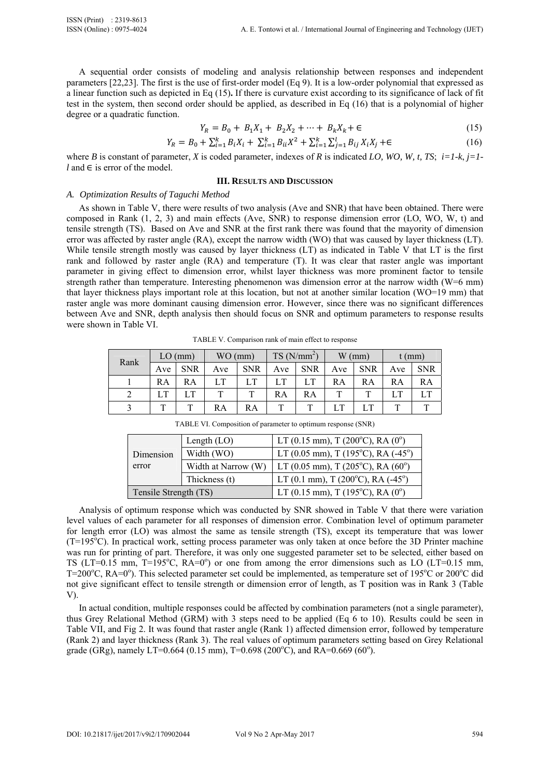A sequential order consists of modeling and analysis relationship between responses and independent parameters [22,23]. The first is the use of first-order model (Eq 9). It is a low-order polynomial that expressed as a linear function such as depicted in Eq (15)**.** If there is curvature exist according to its significance of lack of fit test in the system, then second order should be applied, as described in Eq (16) that is a polynomial of higher degree or a quadratic function.

$$
Y_R = B_0 + B_1 X_1 + B_2 X_2 + \dots + B_k X_k + \epsilon \tag{15}
$$

$$
Y_R = B_0 + \sum_{i=1}^k B_i X_i + \sum_{i=1}^k B_{ii} X^2 + \sum_{i=1}^k \sum_{j=1}^l B_{ij} X_i X_j + \epsilon
$$
 (16)

where *B* is constant of parameter, *X* is coded parameter, indexes of *R* is indicated *LO, WO, W, t, TS*; *i=1-k*, *j=1*  $l$  and  $\in$  is error of the model.

## **III. RESULTS AND DISCUSSION**

## *A. Optimization Results of Taguchi Method*

As shown in Table V, there were results of two analysis (Ave and SNR) that have been obtained. There were composed in Rank (1, 2, 3) and main effects (Ave, SNR) to response dimension error (LO, WO, W, t) and tensile strength (TS). Based on Ave and SNR at the first rank there was found that the mayority of dimension error was affected by raster angle (RA), except the narrow width (WO) that was caused by layer thickness (LT). While tensile strength mostly was caused by layer thickness (LT) as indicated in Table V that LT is the first rank and followed by raster angle (RA) and temperature (T). It was clear that raster angle was important parameter in giving effect to dimension error, whilst layer thickness was more prominent factor to tensile strength rather than temperature. Interesting phenomenon was dimension error at the narrow width (W=6 mm) that layer thickness plays important role at this location, but not at another similar location (WO=19 mm) that raster angle was more dominant causing dimension error. However, since there was no significant differences between Ave and SNR, depth analysis then should focus on SNR and optimum parameters to response results were shown in Table VI.

TABLE V. Comparison rank of main effect to response

| Rank | $LO$ (mm) |            | $WO$ (mm) |            | $TS(N/mm^2)$ |            | $W$ (mm) |            | $t$ (mm) |            |
|------|-----------|------------|-----------|------------|--------------|------------|----------|------------|----------|------------|
|      | Ave       | <b>SNR</b> | Ave       | <b>SNR</b> | Ave          | <b>SNR</b> | Ave      | <b>SNR</b> | Ave      | <b>SNR</b> |
|      | RA        | RA         |           | LT         |              |            | RA       | RA         | RA       | RA         |
|      |           | <b>LT</b>  |           |            | RA           | RA         |          | т          |          | LT         |
|      | T         | т          | RA        | RA         | ᅲ            | ௱          | LT       | LT         | Ē        |            |

Dimension error Length (LO)  $LT (0.15 mm)$ , T (200<sup>o</sup>C), RA (0<sup>o</sup>) Width (WO) LT (0.05 mm), T (195<sup>o</sup>C), RA (-45<sup>o</sup>) Width at Narrow (W) LT (0.05 mm), T (205 °C), RA (60<sup>o</sup>) Thickness (t)  $LT (0.1 mm)$ , T (200<sup>o</sup>C), RA (-45<sup>o</sup>) Tensile Strength (TS)  $LT (0.15 mm)$ , T (195<sup>o</sup>C), RA (0<sup>o</sup>)

TABLE VI. Composition of parameter to optimum response (SNR)

Analysis of optimum response which was conducted by SNR showed in Table V that there were variation level values of each parameter for all responses of dimension error. Combination level of optimum parameter for length error (LO) was almost the same as tensile strength (TS), except its temperature that was lower (T=195<sup>o</sup>C). In practical work, setting process parameter was only taken at once before the 3D Printer machine was run for printing of part. Therefore, it was only one suggested parameter set to be selected, either based on TS (LT=0.15 mm, T=195°C, RA=0°) or one from among the error dimensions such as LO (LT=0.15 mm, T=200°C, RA=0°). This selected parameter set could be implemented, as temperature set of 195°C or 200°C did not give significant effect to tensile strength or dimension error of length, as T position was in Rank 3 (Table V).

In actual condition, multiple responses could be affected by combination parameters (not a single parameter), thus Grey Relational Method (GRM) with 3 steps need to be applied (Eq 6 to 10). Results could be seen in Table VII, and Fig 2. It was found that raster angle (Rank 1) affected dimension error, followed by temperature (Rank 2) and layer thickness (Rank 3). The real values of optimum parameters setting based on Grey Relational grade (GRg), namely LT=0.664 (0.15 mm), T=0.698 (200°C), and RA=0.669 (60°).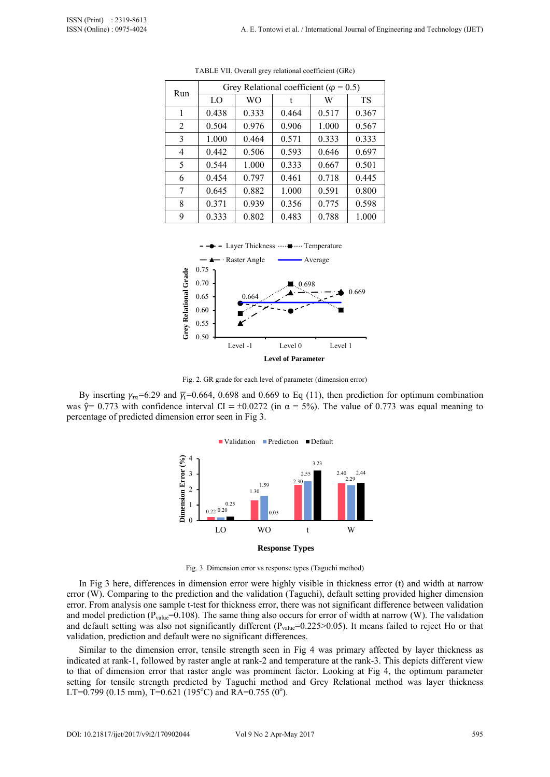| Run | Grey Relational coefficient ( $\varphi$ = 0.5) |           |       |       |           |  |  |  |
|-----|------------------------------------------------|-----------|-------|-------|-----------|--|--|--|
|     | LO                                             | <b>WO</b> |       | W     | <b>TS</b> |  |  |  |
| 1   | 0.438                                          | 0.333     | 0.464 | 0.517 | 0.367     |  |  |  |
| 2   | 0.504                                          | 0.976     | 0.906 | 1.000 | 0.567     |  |  |  |
| 3   | 1.000                                          | 0.464     | 0.571 | 0.333 | 0.333     |  |  |  |
| 4   | 0.442                                          | 0.506     | 0.593 | 0.646 | 0.697     |  |  |  |
| 5   | 0.544                                          | 1.000     | 0.333 | 0.667 | 0.501     |  |  |  |
| 6   | 0.454                                          | 0.797     | 0.461 | 0.718 | 0.445     |  |  |  |
| 7   | 0.645                                          | 0.882     | 1.000 | 0.591 | 0.800     |  |  |  |
| 8   | 0.371                                          | 0.939     | 0.356 | 0.775 | 0.598     |  |  |  |
| 9   | 0.333                                          | 0.802     | 0.483 | 0.788 | 1.000     |  |  |  |

TABLE VII. Overall grey relational coefficient (GRc)



Fig. 2. GR grade for each level of parameter (dimension error)

By inserting  $\gamma_m$ =6.29 and  $\bar{\gamma}_c$ =0.664, 0.698 and 0.669 to Eq (11), then prediction for optimum combination was  $\hat{\gamma}$  = 0.773 with confidence interval CI = ±0.0272 (in  $\alpha$  = 5%). The value of 0.773 was equal meaning to percentage of predicted dimension error seen in Fig 3.



Fig. 3. Dimension error vs response types (Taguchi method)

In Fig 3 here, differences in dimension error were highly visible in thickness error (t) and width at narrow error (W). Comparing to the prediction and the validation (Taguchi), default setting provided higher dimension error. From analysis one sample t-test for thickness error, there was not significant difference between validation and model prediction ( $P_{value}$ =0.108). The same thing also occurs for error of width at narrow (W). The validation and default setting was also not significantly different ( $P_{value}$ =0.225>0.05). It means failed to reject Ho or that validation, prediction and default were no significant differences.

Similar to the dimension error, tensile strength seen in Fig 4 was primary affected by layer thickness as indicated at rank-1, followed by raster angle at rank-2 and temperature at the rank-3. This depicts different view to that of dimension error that raster angle was prominent factor. Looking at Fig 4, the optimum parameter setting for tensile strength predicted by Taguchi method and Grey Relational method was layer thickness LT=0.799 (0.15 mm), T=0.621 (195°C) and RA=0.755 (0°).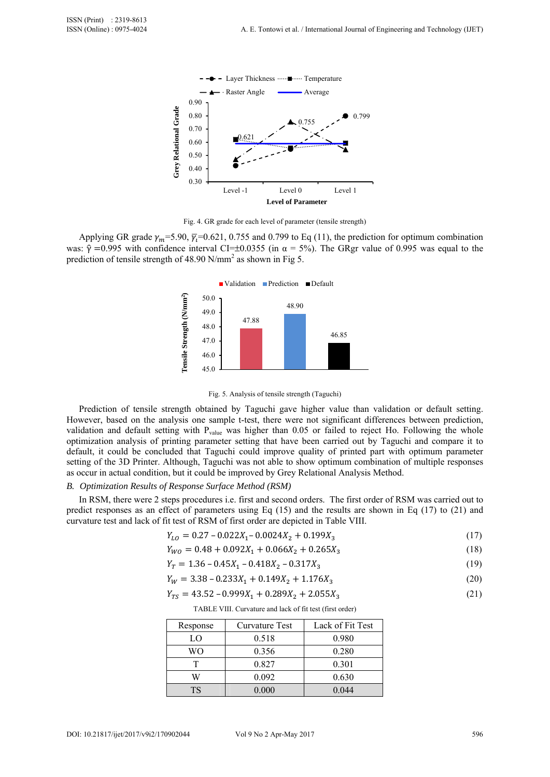

Fig. 4. GR grade for each level of parameter (tensile strength)

Applying GR grade  $\gamma_m$ =5.90,  $\bar{\gamma}_i$ =0.621, 0.755 and 0.799 to Eq (11), the prediction for optimum combination was:  $\hat{y} = 0.995$  with confidence interval CI=±0.0355 (in  $\alpha = 5\%$ ). The GRgr value of 0.995 was equal to the prediction of tensile strength of 48.90 N/mm<sup>2</sup> as shown in Fig 5.





Prediction of tensile strength obtained by Taguchi gave higher value than validation or default setting. However, based on the analysis one sample t-test, there were not significant differences between prediction, validation and default setting with  $P_{value}$  was higher than 0.05 or failed to reject Ho. Following the whole optimization analysis of printing parameter setting that have been carried out by Taguchi and compare it to default, it could be concluded that Taguchi could improve quality of printed part with optimum parameter setting of the 3D Printer. Although, Taguchi was not able to show optimum combination of multiple responses as occur in actual condition, but it could be improved by Grey Relational Analysis Method.

## *B. Optimization Results of Response Surface Method (RSM)*

In RSM, there were 2 steps procedures i.e. first and second orders. The first order of RSM was carried out to predict responses as an effect of parameters using Eq (15) and the results are shown in Eq (17) to (21) and curvature test and lack of fit test of RSM of first order are depicted in Table VIII.

$$
Y_{LO} = 0.27 - 0.022X_1 - 0.0024X_2 + 0.199X_3 \tag{17}
$$

$$
Y_{WO} = 0.48 + 0.092X_1 + 0.066X_2 + 0.265X_3 \tag{18}
$$

$$
Y_T = 1.36 - 0.45X_1 - 0.418X_2 - 0.317X_3 \tag{19}
$$

$$
Y_W = 3.38 - 0.233X_1 + 0.149X_2 + 1.176X_3 \tag{20}
$$

$$
Y_{TS} = 43.52 - 0.999X_1 + 0.289X_2 + 2.055X_3 \tag{21}
$$

TABLE VIII. Curvature and lack of fit test (first order)

| Response | Curvature Test | Lack of Fit Test |
|----------|----------------|------------------|
| LO       | 0.518          | 0.980            |
| WΟ       | 0.356          | 0.280            |
| т        | 0.827          | 0.301            |
| W        | 0.092          | 0.630            |
| TS       | 0.000          | 0.044            |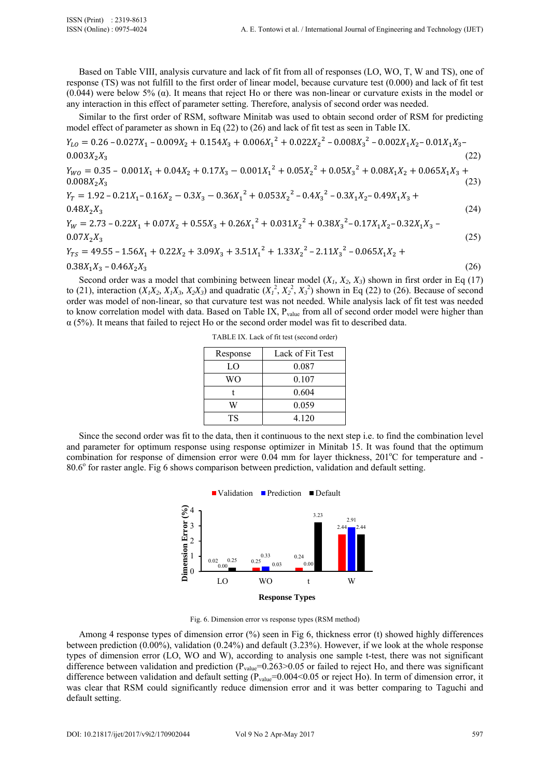Based on Table VIII, analysis curvature and lack of fit from all of responses (LO, WO, T, W and TS), one of response (TS) was not fulfill to the first order of linear model, because curvature test (0.000) and lack of fit test (0.044) were below 5% ( $\alpha$ ). It means that reject Ho or there was non-linear or curvature exists in the model or any interaction in this effect of parameter setting. Therefore, analysis of second order was needed.

Similar to the first order of RSM, software Minitab was used to obtain second order of RSM for predicting model effect of parameter as shown in Eq (22) to (26) and lack of fit test as seen in Table IX.

$$
Y_{LO} = 0.26 - 0.027X_1 - 0.009X_2 + 0.154X_3 + 0.006X_1^2 + 0.022X_2^2 - 0.008X_3^2 - 0.002X_1X_2 - 0.01X_1X_3 - 0.003X_2X_3
$$
\n(22)  
\n
$$
Y_{WO} = 0.35 - 0.001X_1 + 0.04X_2 + 0.17X_3 - 0.001X_1^2 + 0.05X_2^2 + 0.05X_3^2 + 0.08X_1X_2 + 0.065X_1X_3 + 0.008X_2X_3
$$
\n(23)  
\n
$$
Y_T = 1.92 - 0.21X_1 - 0.16X_2 - 0.3X_3 - 0.36X_1^2 + 0.053X_2^2 - 0.4X_3^2 - 0.3X_1X_2 - 0.49X_1X_3 + 0.48X_2X_3
$$
\n(24)  
\n
$$
Y_W = 2.73 - 0.22X_1 + 0.07X_2 + 0.55X_3 + 0.26X_1^2 + 0.031X_2^2 + 0.38X_3^2 - 0.17X_1X_2 - 0.32X_1X_3 - 0.001X_2^2 + 0.001X_2^2 + 0.001X_3^2 - 0.001X_3^2 - 0.001X_3^2 - 0.001X_3^2 - 0.001X_3^2 - 0.001X_3^2 - 0.001X_3^2 - 0.001X_3^2 - 0.001X_3^2 - 0.001X_3^2 - 0.001X_3^2 - 0.001X_3^2 - 0.001X_3^2 - 0.001X_3^2 - 0.001X_3^2 - 0.001X_3^2 - 0.001X_3^2 - 0.001X_3^2 - 0.001X_3^2 - 0.001X_3^2 - 0.001X_3^2 - 0.001X_3^2 -
$$

$$
0.07X_2X_3
$$
  
\n
$$
Y_{TS} = 49.55 - 1.56X_1 + 0.22X_2 + 3.09X_3 + 3.51X_1^2 + 1.33X_2^2 - 2.11X_3^2 - 0.065X_1X_2 + 0.065X_1X_3 + 0.065X_1X_2 + 0.065X_1X_3 + 0.065X_1X_3 + 0.065X_1X_2 + 0.065X_1X_3 + 0.065X_1X_3 + 0.065X_1X_3 + 0.065X_1X_2 + 0.065X_1X_3 + 0.065X_1X_3 + 0.065X_1X_3 + 0.065X_1X_3 + 0.065X_1X_3 + 0.065X_1X_3 + 0.065X_1X_3 + 0.065X_1X_3 + 0.065X_1X_3 + 0.065X_1X_3 + 0.065X_1X_3 + 0.065X_1X_3 + 0.065X_1X_3 + 0.065X_1X_3 + 0.065X_1X_3 + 0.065X_1X_3 + 0.065X_1X_3 + 0.065X_1X_3 + 0.065X_1X_3 + 0.065X_1X_3 + 0.065X_1X_3 + 0.065X_1X_3 + 0.065X_1X_3 + 0.065X_1X_3 + 0.065X_1X_3 + 0.065X_1X_3 + 0.065X_1X_3 + 0.065X_1X_3 + 0.065X_1X_3 + 0.065X_1X_3 + 0.065X_1X_3 + 0.065X_1X_3 + 0.065X_1X_3 + 0.065X_1X_3 + 0.065X_1X_3 + 0.065X_1X_3 + 0.065X_1X_3 + 0.065X_1X_3 + 0.065X_1X_3 + 0.065X_1X_3 + 0.065X_1X_3 + 0
$$

 $0.38X_1X_3 - 0.46X_2X_3$  (26)

Second order was a model that combining between linear model  $(X_1, X_2, X_3)$  shown in first order in Eq (17) to (21), interaction  $(X_1X_2, X_1X_3, X_2X_3)$  and quadratic  $(X_1^2, X_2^2, X_3^2)$  shown in Eq (22) to (26). Because of second order was model of non-linear, so that curvature test was not needed. While analysis lack of fit test was needed to know correlation model with data. Based on Table IX, P<sub>value</sub> from all of second order model were higher than  $\alpha$  (5%). It means that failed to reject Ho or the second order model was fit to described data.

TABLE IX. Lack of fit test (second order)

| Response | Lack of Fit Test |
|----------|------------------|
| LO       | 0.087            |
| WО       | 0.107            |
|          | 0.604            |
| W        | 0.059            |
| TS       | 4.120            |

Since the second order was fit to the data, then it continuous to the next step i.e. to find the combination level and parameter for optimum response using response optimizer in Minitab 15. It was found that the optimum combination for response of dimension error were 0.04 mm for layer thickness, 201°C for temperature and -80.6° for raster angle. Fig 6 shows comparison between prediction, validation and default setting.



Fig. 6. Dimension error vs response types (RSM method)

Among 4 response types of dimension error (%) seen in Fig 6, thickness error (t) showed highly differences between prediction (0.00%), validation (0.24%) and default (3.23%). However, if we look at the whole response types of dimension error (LO, WO and W), according to analysis one sample t-test, there was not significant difference between validation and prediction ( $P_{value} = 0.263 > 0.05$  or failed to reject Ho, and there was significant difference between validation and default setting (P<sub>value</sub>=0.004<0.05 or reject Ho). In term of dimension error, it was clear that RSM could significantly reduce dimension error and it was better comparing to Taguchi and default setting.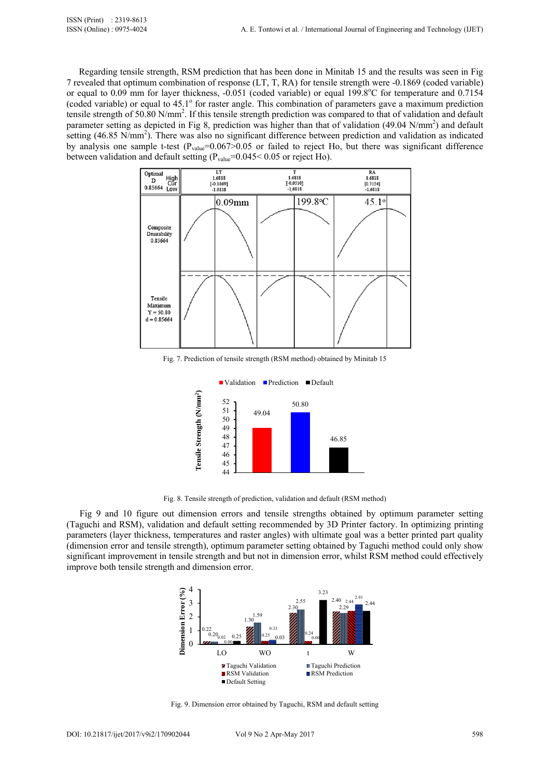Regarding tensile strength, RSM prediction that has been done in Minitab 15 and the results was seen in Fig 7 revealed that optimum combination of response (LT, T, RA) for tensile strength were -0.1869 (coded variable) or equal to 0.09 mm for layer thickness, -0.051 (coded variable) or equal 199.8°C for temperature and 0.7154 (coded variable) or equal to 45.1° for raster angle. This combination of parameters gave a maximum prediction tensile strength of 50.80 N/mm<sup>2</sup>. If this tensile strength prediction was compared to that of validation and default parameter setting as depicted in Fig 8, prediction was higher than that of validation (49.04 N/mm<sup>2</sup>) and default setting (46.85 N/mm<sup>2</sup>). There was also no significant difference between prediction and validation as indicated by analysis one sample t-test  $(P_{value}=0.067>0.05$  or failed to reject Ho, but there was significant difference between validation and default setting  $(P_{value}=0.045<0.05$  or reject Ho).



Fig. 7. Prediction of tensile strength (RSM method) obtained by Minitab 15



Fig. 8. Tensile strength of prediction, validation and default (RSM method)

Fig 9 and 10 figure out dimension errors and tensile strengths obtained by optimum parameter setting (Taguchi and RSM), validation and default setting recommended by 3D Printer factory. In optimizing printing parameters (layer thickness, temperatures and raster angles) with ultimate goal was a better printed part quality (dimension error and tensile strength), optimum parameter setting obtained by Taguchi method could only show significant improvement in tensile strength and but not in dimension error, whilst RSM method could effectively improve both tensile strength and dimension error.



Fig. 9. Dimension error obtained by Taguchi, RSM and default setting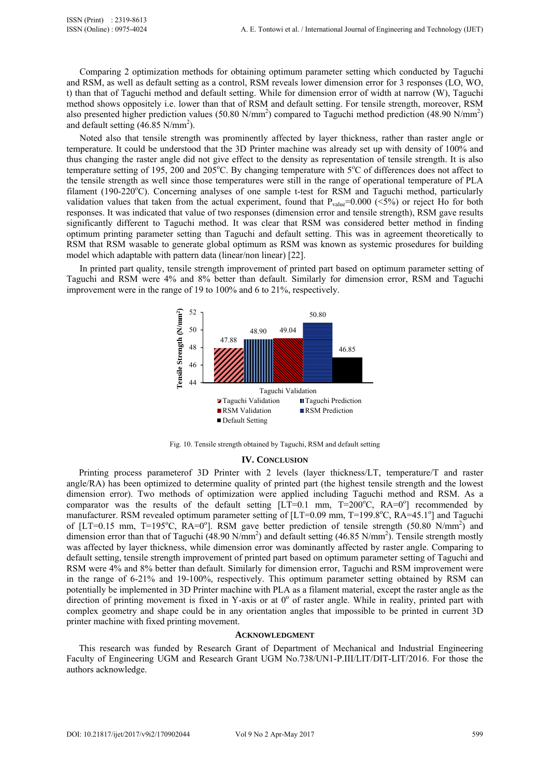Comparing 2 optimization methods for obtaining optimum parameter setting which conducted by Taguchi and RSM, as well as default setting as a control, RSM reveals lower dimension error for 3 responses (LO, WO, t) than that of Taguchi method and default setting. While for dimension error of width at narrow (W), Taguchi method shows oppositely i.e. lower than that of RSM and default setting. For tensile strength, moreover, RSM also presented higher prediction values (50.80 N/mm<sup>2</sup>) compared to Taguchi method prediction (48.90 N/mm<sup>2</sup>) and default setting  $(46.85 \text{ N/mm}^2)$ .

Noted also that tensile strength was prominently affected by layer thickness, rather than raster angle or temperature. It could be understood that the 3D Printer machine was already set up with density of 100% and thus changing the raster angle did not give effect to the density as representation of tensile strength. It is also temperature setting of 195, 200 and  $205^{\circ}$ C. By changing temperature with  $5^{\circ}$ C of differences does not affect to the tensile strength as well since those temperatures were still in the range of operational temperature of PLA filament (190-220°C). Concerning analyses of one sample t-test for RSM and Taguchi method, particularly validation values that taken from the actual experiment, found that  $P_{value}=0.000$  ( $\leq 5\%$ ) or reject Ho for both responses. It was indicated that value of two responses (dimension error and tensile strength), RSM gave results significantly different to Taguchi method. It was clear that RSM was considered better method in finding optimum printing parameter setting than Taguchi and default setting. This was in agreement theoretically to RSM that RSM wasable to generate global optimum as RSM was known as systemic prosedures for building model which adaptable with pattern data (linear/non linear) [22].

In printed part quality, tensile strength improvement of printed part based on optimum parameter setting of Taguchi and RSM were 4% and 8% better than default. Similarly for dimension error, RSM and Taguchi improvement were in the range of 19 to 100% and 6 to 21%, respectively.





#### **IV. CONCLUSION**

Printing process parameterof 3D Printer with 2 levels (layer thickness/LT, temperature/T and raster angle/RA) has been optimized to determine quality of printed part (the highest tensile strength and the lowest dimension error). Two methods of optimization were applied including Taguchi method and RSM. As a comparator was the results of the default setting  $[LT=0.1 \text{ mm}, T=200^{\circ}\text{C}, RA=0^{\circ}]$  recommended by manufacturer. RSM revealed optimum parameter setting of [LT=0.09 mm, T=199.8°C, RA=45.1°] and Taguchi of [LT=0.15 mm, T=195°C,  $RA=0^\circ$ ]. RSM gave better prediction of tensile strength (50.80 N/mm<sup>2</sup>) and dimension error than that of Taguchi (48.90 N/mm<sup>2</sup>) and default setting (46.85 N/mm<sup>2</sup>). Tensile strength mostly was affected by layer thickness, while dimension error was dominantly affected by raster angle. Comparing to default setting, tensile strength improvement of printed part based on optimum parameter setting of Taguchi and RSM were 4% and 8% better than default. Similarly for dimension error, Taguchi and RSM improvement were in the range of 6-21% and 19-100%, respectively. This optimum parameter setting obtained by RSM can potentially be implemented in 3D Printer machine with PLA as a filament material, except the raster angle as the direction of printing movement is fixed in Y-axis or at  $0^{\circ}$  of raster angle. While in reality, printed part with complex geometry and shape could be in any orientation angles that impossible to be printed in current 3D printer machine with fixed printing movement.

#### **ACKNOWLEDGMENT**

This research was funded by Research Grant of Department of Mechanical and Industrial Engineering Faculty of Engineering UGM and Research Grant UGM No.738/UN1-P.III/LIT/DIT-LIT/2016. For those the authors acknowledge.